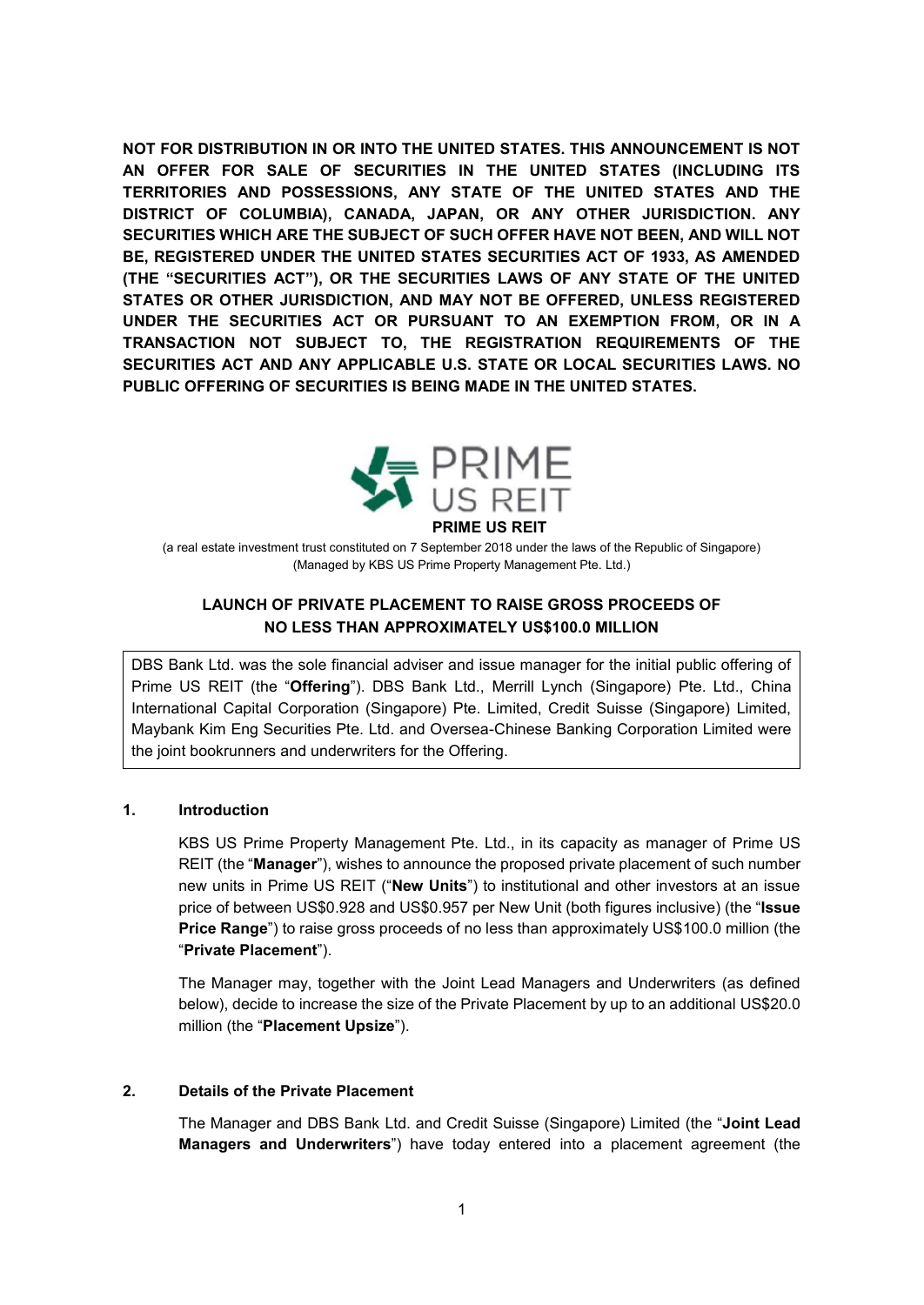**NOT FOR DISTRIBUTION IN OR INTO THE UNITED STATES. THIS ANNOUNCEMENT IS NOT AN OFFER FOR SALE OF SECURITIES IN THE UNITED STATES (INCLUDING ITS TERRITORIES AND POSSESSIONS, ANY STATE OF THE UNITED STATES AND THE DISTRICT OF COLUMBIA), CANADA, JAPAN, OR ANY OTHER JURISDICTION. ANY SECURITIES WHICH ARE THE SUBJECT OF SUCH OFFER HAVE NOT BEEN, AND WILL NOT BE, REGISTERED UNDER THE UNITED STATES SECURITIES ACT OF 1933, AS AMENDED (THE "SECURITIES ACT"), OR THE SECURITIES LAWS OF ANY STATE OF THE UNITED STATES OR OTHER JURISDICTION, AND MAY NOT BE OFFERED, UNLESS REGISTERED UNDER THE SECURITIES ACT OR PURSUANT TO AN EXEMPTION FROM, OR IN A TRANSACTION NOT SUBJECT TO, THE REGISTRATION REQUIREMENTS OF THE SECURITIES ACT AND ANY APPLICABLE U.S. STATE OR LOCAL SECURITIES LAWS. NO PUBLIC OFFERING OF SECURITIES IS BEING MADE IN THE UNITED STATES.** 



(a real estate investment trust constituted on 7 September 2018 under the laws of the Republic of Singapore) (Managed by KBS US Prime Property Management Pte. Ltd.)

# **LAUNCH OF PRIVATE PLACEMENT TO RAISE GROSS PROCEEDS OF NO LESS THAN APPROXIMATELY US\$100.0 MILLION**

DBS Bank Ltd. was the sole financial adviser and issue manager for the initial public offering of Prime US REIT (the "**Offering**"). DBS Bank Ltd., Merrill Lynch (Singapore) Pte. Ltd., China International Capital Corporation (Singapore) Pte. Limited, Credit Suisse (Singapore) Limited, Maybank Kim Eng Securities Pte. Ltd. and Oversea-Chinese Banking Corporation Limited were the joint bookrunners and underwriters for the Offering.

#### **1. Introduction**

KBS US Prime Property Management Pte. Ltd., in its capacity as manager of Prime US REIT (the "**Manager**"), wishes to announce the proposed private placement of such number new units in Prime US REIT ("**New Units**") to institutional and other investors at an issue price of between US\$0.928 and US\$0.957 per New Unit (both figures inclusive) (the "**Issue Price Range**") to raise gross proceeds of no less than approximately US\$100.0 million (the "**Private Placement**").

The Manager may, together with the Joint Lead Managers and Underwriters (as defined below), decide to increase the size of the Private Placement by up to an additional US\$20.0 million (the "**Placement Upsize**").

## **2. Details of the Private Placement**

The Manager and DBS Bank Ltd. and Credit Suisse (Singapore) Limited (the "**Joint Lead Managers and Underwriters**") have today entered into a placement agreement (the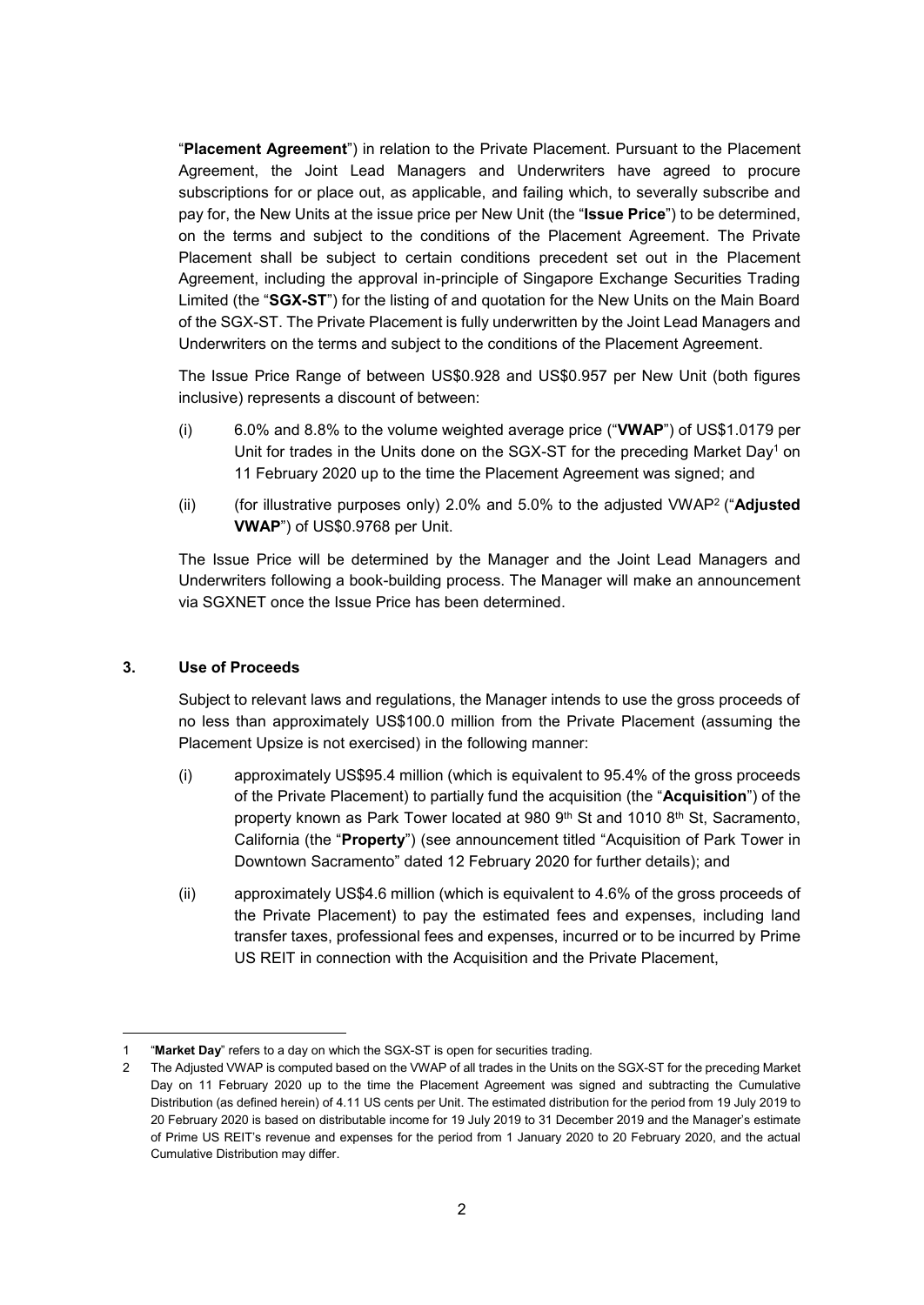"**Placement Agreement**") in relation to the Private Placement. Pursuant to the Placement Agreement, the Joint Lead Managers and Underwriters have agreed to procure subscriptions for or place out, as applicable, and failing which, to severally subscribe and pay for, the New Units at the issue price per New Unit (the "**Issue Price**") to be determined, on the terms and subject to the conditions of the Placement Agreement. The Private Placement shall be subject to certain conditions precedent set out in the Placement Agreement, including the approval in-principle of Singapore Exchange Securities Trading Limited (the "**SGX-ST**") for the listing of and quotation for the New Units on the Main Board of the SGX-ST. The Private Placement is fully underwritten by the Joint Lead Managers and Underwriters on the terms and subject to the conditions of the Placement Agreement.

The Issue Price Range of between US\$0.928 and US\$0.957 per New Unit (both figures inclusive) represents a discount of between:

- (i) 6.0% and 8.8% to the volume weighted average price ("**VWAP**") of US\$1.0179 per Unit for trades in the Units done on the SGX-ST for the preceding Market Day<sup>1</sup> on 11 February 2020 up to the time the Placement Agreement was signed; and
- (ii) (for illustrative purposes only) 2.0% and 5.0% to the adjusted VWAP<sup>2</sup> ("**Adjusted VWAP**") of US\$0.9768 per Unit.

The Issue Price will be determined by the Manager and the Joint Lead Managers and Underwriters following a book-building process. The Manager will make an announcement via SGXNET once the Issue Price has been determined.

#### **3. Use of Proceeds**

l

Subject to relevant laws and regulations, the Manager intends to use the gross proceeds of no less than approximately US\$100.0 million from the Private Placement (assuming the Placement Upsize is not exercised) in the following manner:

- (i) approximately US\$95.4 million (which is equivalent to 95.4% of the gross proceeds of the Private Placement) to partially fund the acquisition (the "**Acquisition**") of the property known as Park Tower located at 980 9th St and 1010 8th St, Sacramento, California (the "**Property**") (see announcement titled "Acquisition of Park Tower in Downtown Sacramento" dated 12 February 2020 for further details); and
- (ii) approximately US\$4.6 million (which is equivalent to 4.6% of the gross proceeds of the Private Placement) to pay the estimated fees and expenses, including land transfer taxes, professional fees and expenses, incurred or to be incurred by Prime US REIT in connection with the Acquisition and the Private Placement,

<sup>&</sup>quot;Market Day" refers to a day on which the SGX-ST is open for securities trading.

<sup>2</sup> The Adjusted VWAP is computed based on the VWAP of all trades in the Units on the SGX-ST for the preceding Market Day on 11 February 2020 up to the time the Placement Agreement was signed and subtracting the Cumulative Distribution (as defined herein) of 4.11 US cents per Unit. The estimated distribution for the period from 19 July 2019 to 20 February 2020 is based on distributable income for 19 July 2019 to 31 December 2019 and the Manager's estimate of Prime US REIT's revenue and expenses for the period from 1 January 2020 to 20 February 2020, and the actual Cumulative Distribution may differ.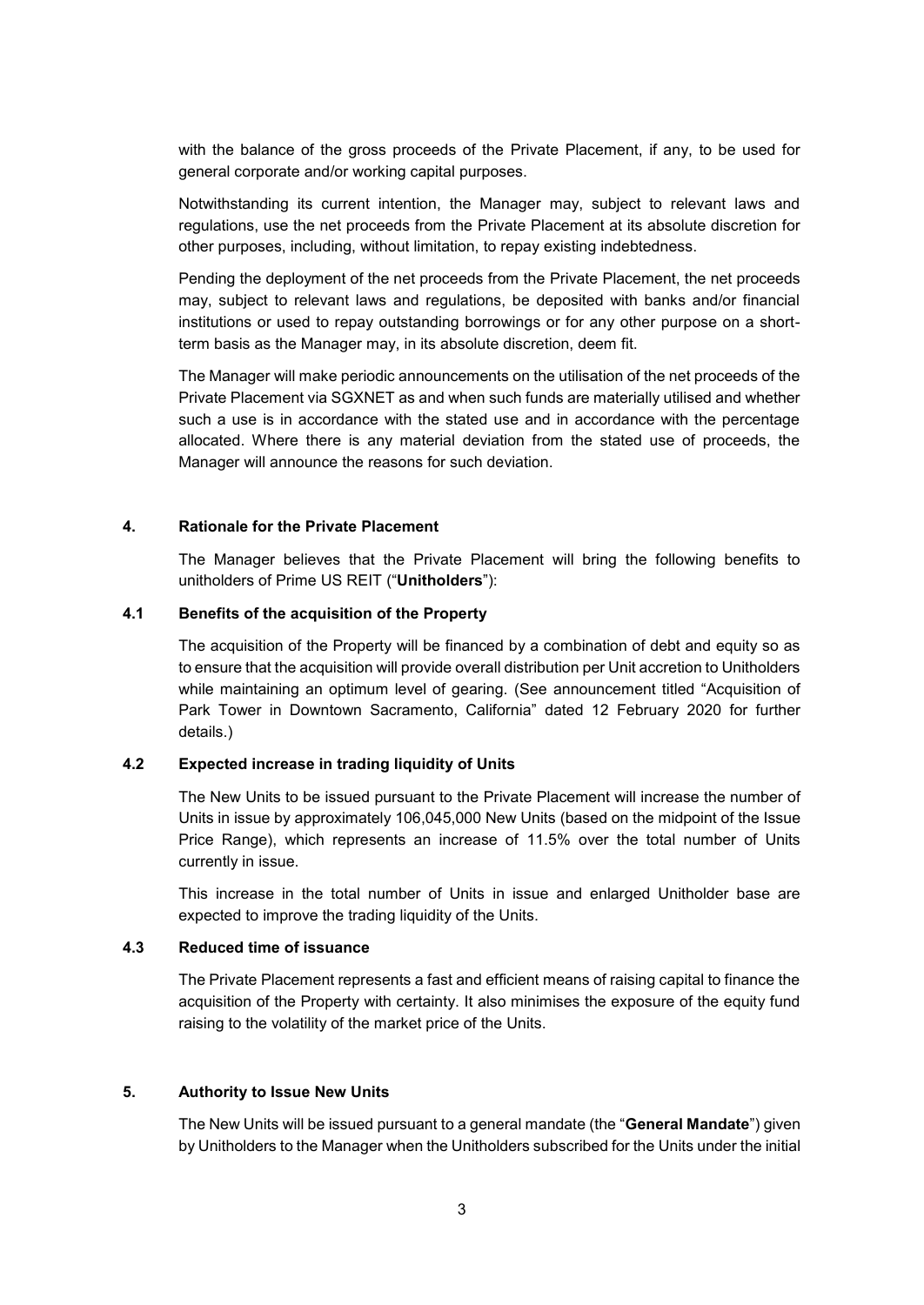with the balance of the gross proceeds of the Private Placement, if any, to be used for general corporate and/or working capital purposes.

Notwithstanding its current intention, the Manager may, subject to relevant laws and regulations, use the net proceeds from the Private Placement at its absolute discretion for other purposes, including, without limitation, to repay existing indebtedness.

Pending the deployment of the net proceeds from the Private Placement, the net proceeds may, subject to relevant laws and regulations, be deposited with banks and/or financial institutions or used to repay outstanding borrowings or for any other purpose on a shortterm basis as the Manager may, in its absolute discretion, deem fit.

The Manager will make periodic announcements on the utilisation of the net proceeds of the Private Placement via SGXNET as and when such funds are materially utilised and whether such a use is in accordance with the stated use and in accordance with the percentage allocated. Where there is any material deviation from the stated use of proceeds, the Manager will announce the reasons for such deviation.

#### **4. Rationale for the Private Placement**

The Manager believes that the Private Placement will bring the following benefits to unitholders of Prime US REIT ("**Unitholders**"):

#### **4.1 Benefits of the acquisition of the Property**

The acquisition of the Property will be financed by a combination of debt and equity so as to ensure that the acquisition will provide overall distribution per Unit accretion to Unitholders while maintaining an optimum level of gearing. (See announcement titled "Acquisition of Park Tower in Downtown Sacramento, California" dated 12 February 2020 for further details.)

#### **4.2 Expected increase in trading liquidity of Units**

The New Units to be issued pursuant to the Private Placement will increase the number of Units in issue by approximately 106,045,000 New Units (based on the midpoint of the Issue Price Range), which represents an increase of 11.5% over the total number of Units currently in issue.

This increase in the total number of Units in issue and enlarged Unitholder base are expected to improve the trading liquidity of the Units.

#### **4.3 Reduced time of issuance**

The Private Placement represents a fast and efficient means of raising capital to finance the acquisition of the Property with certainty. It also minimises the exposure of the equity fund raising to the volatility of the market price of the Units.

#### **5. Authority to Issue New Units**

The New Units will be issued pursuant to a general mandate (the "**General Mandate**") given by Unitholders to the Manager when the Unitholders subscribed for the Units under the initial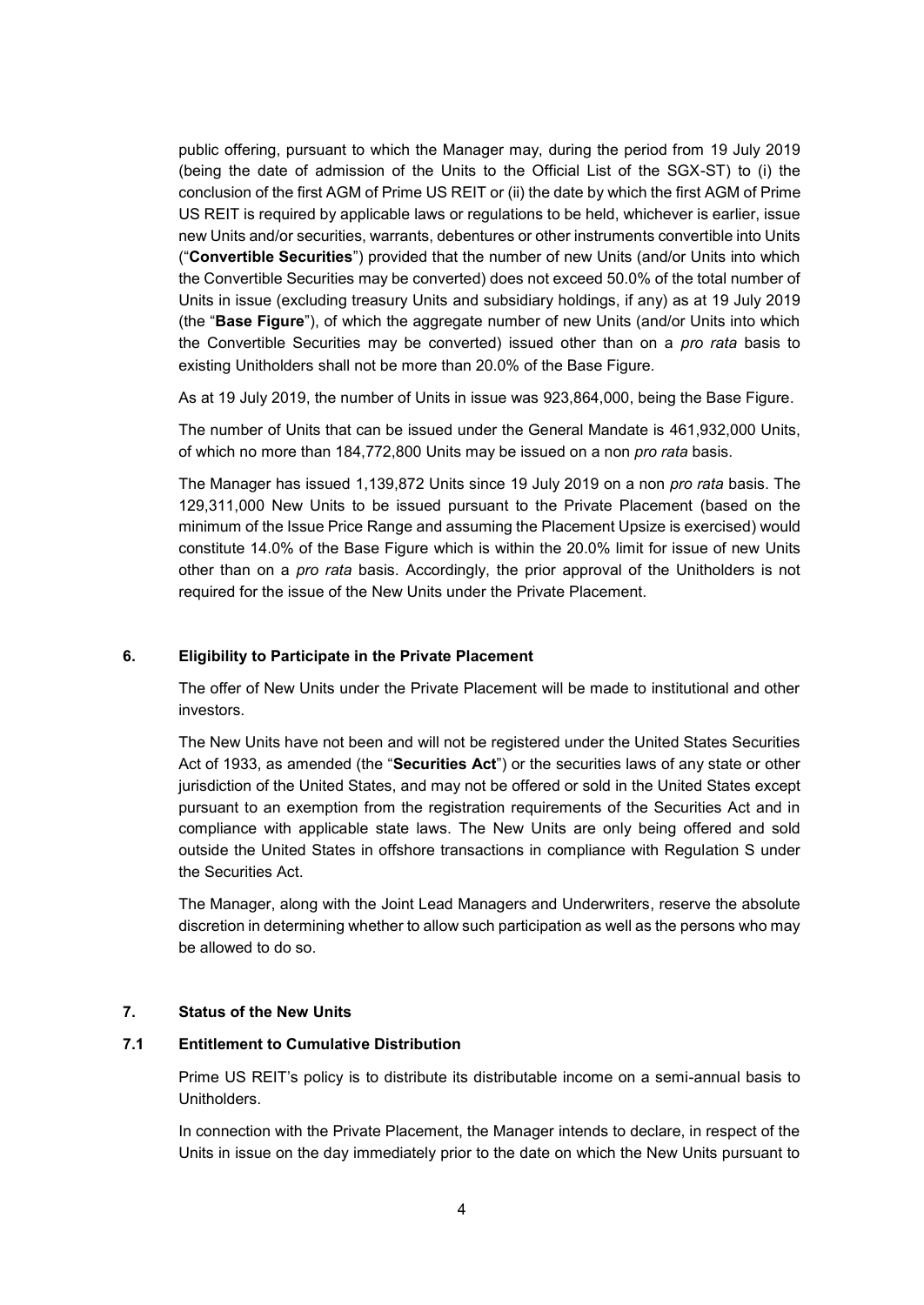public offering, pursuant to which the Manager may, during the period from 19 July 2019 (being the date of admission of the Units to the Official List of the SGX-ST) to (i) the conclusion of the first AGM of Prime US REIT or (ii) the date by which the first AGM of Prime US REIT is required by applicable laws or regulations to be held, whichever is earlier, issue new Units and/or securities, warrants, debentures or other instruments convertible into Units ("**Convertible Securities**") provided that the number of new Units (and/or Units into which the Convertible Securities may be converted) does not exceed 50.0% of the total number of Units in issue (excluding treasury Units and subsidiary holdings, if any) as at 19 July 2019 (the "**Base Figure**"), of which the aggregate number of new Units (and/or Units into which the Convertible Securities may be converted) issued other than on a *pro rata* basis to existing Unitholders shall not be more than 20.0% of the Base Figure.

As at 19 July 2019, the number of Units in issue was 923,864,000, being the Base Figure.

The number of Units that can be issued under the General Mandate is 461,932,000 Units, of which no more than 184,772,800 Units may be issued on a non *pro rata* basis.

The Manager has issued 1,139,872 Units since 19 July 2019 on a non *pro rata* basis. The 129,311,000 New Units to be issued pursuant to the Private Placement (based on the minimum of the Issue Price Range and assuming the Placement Upsize is exercised) would constitute 14.0% of the Base Figure which is within the 20.0% limit for issue of new Units other than on a *pro rata* basis. Accordingly, the prior approval of the Unitholders is not required for the issue of the New Units under the Private Placement.

#### **6. Eligibility to Participate in the Private Placement**

The offer of New Units under the Private Placement will be made to institutional and other investors.

The New Units have not been and will not be registered under the United States Securities Act of 1933, as amended (the "**Securities Act**") or the securities laws of any state or other jurisdiction of the United States, and may not be offered or sold in the United States except pursuant to an exemption from the registration requirements of the Securities Act and in compliance with applicable state laws. The New Units are only being offered and sold outside the United States in offshore transactions in compliance with Regulation S under the Securities Act.

The Manager, along with the Joint Lead Managers and Underwriters, reserve the absolute discretion in determining whether to allow such participation as well as the persons who may be allowed to do so.

## **7. Status of the New Units**

## **7.1 Entitlement to Cumulative Distribution**

Prime US REIT's policy is to distribute its distributable income on a semi-annual basis to Unitholders.

In connection with the Private Placement, the Manager intends to declare, in respect of the Units in issue on the day immediately prior to the date on which the New Units pursuant to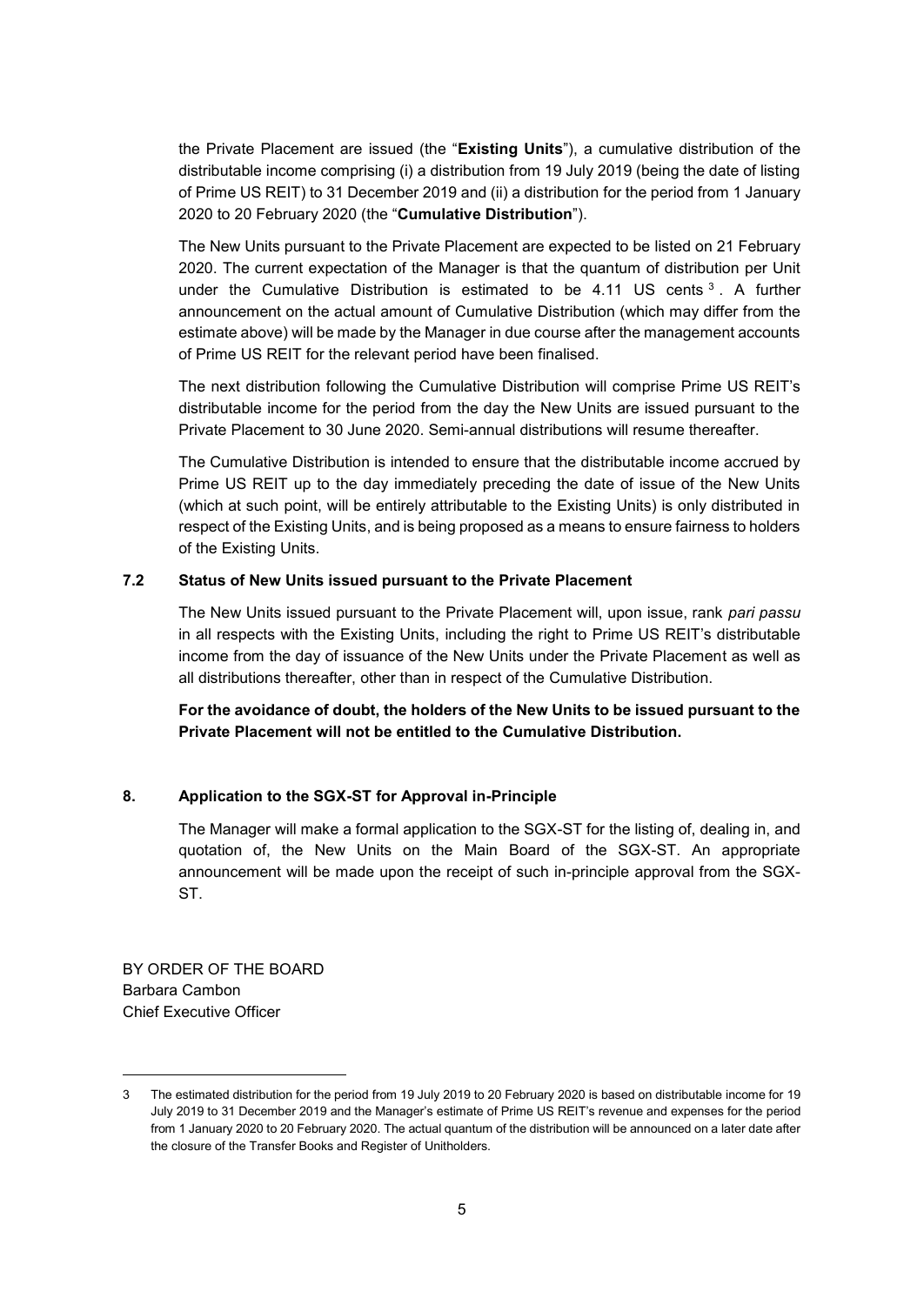the Private Placement are issued (the "**Existing Units**"), a cumulative distribution of the distributable income comprising (i) a distribution from 19 July 2019 (being the date of listing of Prime US REIT) to 31 December 2019 and (ii) a distribution for the period from 1 January 2020 to 20 February 2020 (the "**Cumulative Distribution**").

The New Units pursuant to the Private Placement are expected to be listed on 21 February 2020. The current expectation of the Manager is that the quantum of distribution per Unit under the Cumulative Distribution is estimated to be  $4.11$  US cents  $3$ . A further announcement on the actual amount of Cumulative Distribution (which may differ from the estimate above) will be made by the Manager in due course after the management accounts of Prime US REIT for the relevant period have been finalised.

The next distribution following the Cumulative Distribution will comprise Prime US REIT's distributable income for the period from the day the New Units are issued pursuant to the Private Placement to 30 June 2020. Semi-annual distributions will resume thereafter.

The Cumulative Distribution is intended to ensure that the distributable income accrued by Prime US REIT up to the day immediately preceding the date of issue of the New Units (which at such point, will be entirely attributable to the Existing Units) is only distributed in respect of the Existing Units, and is being proposed as a means to ensure fairness to holders of the Existing Units.

## **7.2 Status of New Units issued pursuant to the Private Placement**

The New Units issued pursuant to the Private Placement will, upon issue, rank *pari passu* in all respects with the Existing Units, including the right to Prime US REIT's distributable income from the day of issuance of the New Units under the Private Placement as well as all distributions thereafter, other than in respect of the Cumulative Distribution.

**For the avoidance of doubt, the holders of the New Units to be issued pursuant to the Private Placement will not be entitled to the Cumulative Distribution.**

# **8. Application to the SGX-ST for Approval in-Principle**

The Manager will make a formal application to the SGX-ST for the listing of, dealing in, and quotation of, the New Units on the Main Board of the SGX-ST. An appropriate announcement will be made upon the receipt of such in-principle approval from the SGX-ST.

BY ORDER OF THE BOARD Barbara Cambon Chief Executive Officer

l

<sup>3</sup> The estimated distribution for the period from 19 July 2019 to 20 February 2020 is based on distributable income for 19 July 2019 to 31 December 2019 and the Manager's estimate of Prime US REIT's revenue and expenses for the period from 1 January 2020 to 20 February 2020. The actual quantum of the distribution will be announced on a later date after the closure of the Transfer Books and Register of Unitholders.